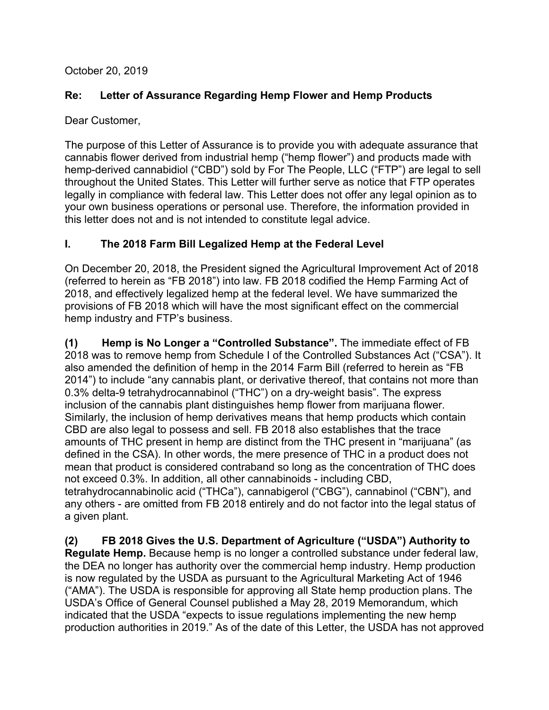October 20, 2019

# **Re: Letter of Assurance Regarding Hemp Flower and Hemp Products**

Dear Customer,

The purpose of this Letter of Assurance is to provide you with adequate assurance that cannabis flower derived from industrial hemp ("hemp flower") and products made with hemp-derived cannabidiol ("CBD") sold by For The People, LLC ("FTP") are legal to sell throughout the United States. This Letter will further serve as notice that FTP operates legally in compliance with federal law. This Letter does not offer any legal opinion as to your own business operations or personal use. Therefore, the information provided in this letter does not and is not intended to constitute legal advice.

# **I. The 2018 Farm Bill Legalized Hemp at the Federal Level**

On December 20, 2018, the President signed the Agricultural Improvement Act of 2018 (referred to herein as "FB 2018") into law. FB 2018 codified the Hemp Farming Act of 2018, and effectively legalized hemp at the federal level. We have summarized the provisions of FB 2018 which will have the most significant effect on the commercial hemp industry and FTP's business.

**(1) Hemp is No Longer a "Controlled Substance".** The immediate effect of FB 2018 was to remove hemp from Schedule I of the Controlled Substances Act ("CSA"). It also amended the definition of hemp in the 2014 Farm Bill (referred to herein as "FB 2014") to include "any cannabis plant, or derivative thereof, that contains not more than 0.3% delta-9 tetrahydrocannabinol ("THC") on a dry-weight basis". The express inclusion of the cannabis plant distinguishes hemp flower from marijuana flower. Similarly, the inclusion of hemp derivatives means that hemp products which contain CBD are also legal to possess and sell. FB 2018 also establishes that the trace amounts of THC present in hemp are distinct from the THC present in "marijuana" (as defined in the CSA). In other words, the mere presence of THC in a product does not mean that product is considered contraband so long as the concentration of THC does not exceed 0.3%. In addition, all other cannabinoids - including CBD, tetrahydrocannabinolic acid ("THCa"), cannabigerol ("CBG"), cannabinol ("CBN"), and any others - are omitted from FB 2018 entirely and do not factor into the legal status of a given plant.

**(2) FB 2018 Gives the U.S. Department of Agriculture ("USDA") Authority to Regulate Hemp.** Because hemp is no longer a controlled substance under federal law, the DEA no longer has authority over the commercial hemp industry. Hemp production is now regulated by the USDA as pursuant to the Agricultural Marketing Act of 1946 ("AMA"). The USDA is responsible for approving all State hemp production plans. The USDA's Office of General Counsel published a May 28, 2019 Memorandum, which indicated that the USDA "expects to issue regulations implementing the new hemp production authorities in 2019." As of the date of this Letter, the USDA has not approved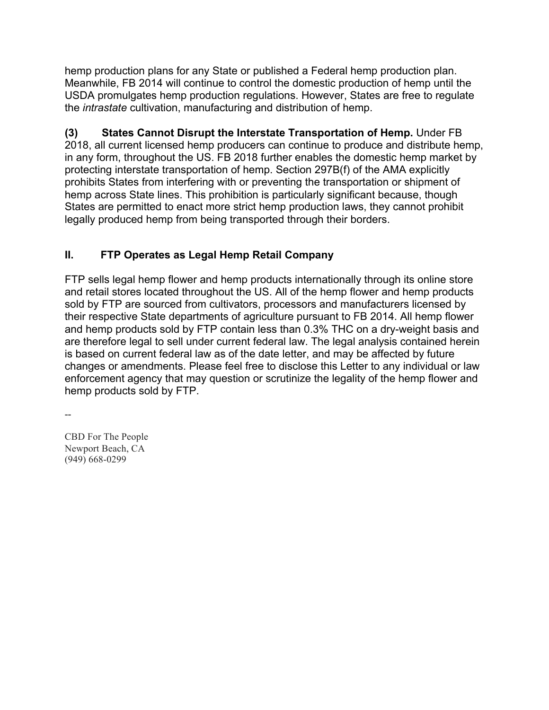hemp production plans for any State or published a Federal hemp production plan. Meanwhile, FB 2014 will continue to control the domestic production of hemp until the USDA promulgates hemp production regulations. However, States are free to regulate the *intrastate* cultivation, manufacturing and distribution of hemp.

**(3) States Cannot Disrupt the Interstate Transportation of Hemp.** Under FB 2018, all current licensed hemp producers can continue to produce and distribute hemp, in any form, throughout the US. FB 2018 further enables the domestic hemp market by protecting interstate transportation of hemp. Section 297B(f) of the AMA explicitly prohibits States from interfering with or preventing the transportation or shipment of hemp across State lines. This prohibition is particularly significant because, though States are permitted to enact more strict hemp production laws, they cannot prohibit legally produced hemp from being transported through their borders.

# **II. FTP Operates as Legal Hemp Retail Company**

FTP sells legal hemp flower and hemp products internationally through its online store and retail stores located throughout the US. All of the hemp flower and hemp products sold by FTP are sourced from cultivators, processors and manufacturers licensed by their respective State departments of agriculture pursuant to FB 2014. All hemp flower and hemp products sold by FTP contain less than 0.3% THC on a dry-weight basis and are therefore legal to sell under current federal law. The legal analysis contained herein is based on current federal law as of the date letter, and may be affected by future changes or amendments. Please feel free to disclose this Letter to any individual or law enforcement agency that may question or scrutinize the legality of the hemp flower and hemp products sold by FTP.

--

CBD For The People Newport Beach, CA (949) 668-0299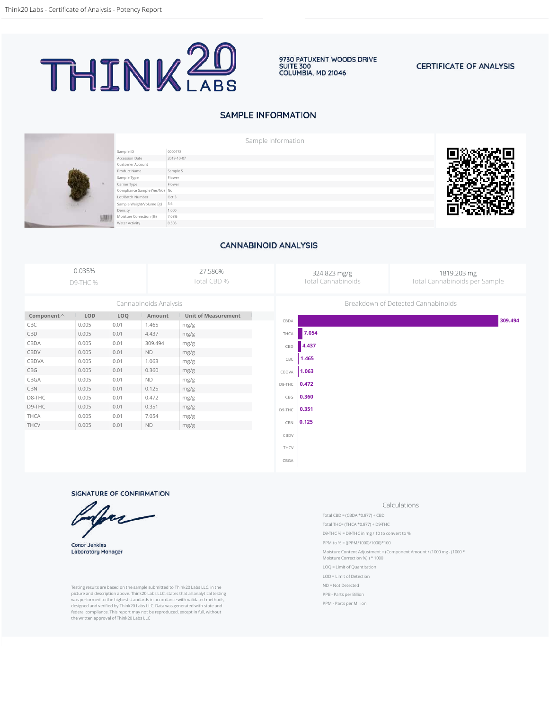

9730 PATUXENT WOODS DRIVE **SUITE 300** COLUMBIA, MD 21046

#### **CERTIFICATE OF ANALYSIS**

# **SAMPLE INFORMATION**





Sample ID 0000178 Accession Date 2019-10-07 Customer Account Product Name Sample 5<br>
Sample Type Sample 5 Sample Type Carrier Type Flower Compliance Sample (Yes/No) No<br>Lot/Batch Number Oct 3 Lot/Batch Number Sample Weight/Volume (g) 5.6<br>Density 1.00 Density 1.000 Moisture Correction (%) 7.08%<br>Water Activity 0.506 Water Activity



### **CANNABINOID ANALYSIS**

|                       | 0.035%<br><b>D9-THC %</b> |      |           | 27.586%<br>Total CBD %     |        | 324.823 mg/g<br>1819.203 mg<br><b>Total Cannabinoids</b><br>Total Cannabinoids per Sample |                                    |         |  |  |
|-----------------------|---------------------------|------|-----------|----------------------------|--------|-------------------------------------------------------------------------------------------|------------------------------------|---------|--|--|
| Cannabinoids Analysis |                           |      |           |                            |        |                                                                                           | Breakdown of Detected Cannabinoids |         |  |  |
| Component $\wedge$    | LOD                       | LOQ  | Amount    | <b>Unit of Measurement</b> |        |                                                                                           |                                    | 309.494 |  |  |
| CBC                   | 0.005                     | 0.01 | 1.465     | mg/g                       | CBDA   |                                                                                           |                                    |         |  |  |
| CBD                   | 0.005                     | 0.01 | 4.437     | mg/g                       | THCA   | 7.054                                                                                     |                                    |         |  |  |
| CBDA                  | 0.005                     | 0.01 | 309.494   | mg/g                       | CBD    | 4.437                                                                                     |                                    |         |  |  |
| CBDV                  | 0.005                     | 0.01 | <b>ND</b> | mg/g                       |        |                                                                                           |                                    |         |  |  |
| CBDVA                 | 0.005                     | 0.01 | 1.063     | mg/g                       | CBC    | 1.465                                                                                     |                                    |         |  |  |
| CBG                   | 0.005                     | 0.01 | 0.360     | mg/g                       | CBDVA  | 1.063                                                                                     |                                    |         |  |  |
| CBGA                  | 0.005                     | 0.01 | <b>ND</b> | mg/g                       | D8-THC | 0.472                                                                                     |                                    |         |  |  |
| CBN                   | 0.005                     | 0.01 | 0.125     | mg/g                       |        |                                                                                           |                                    |         |  |  |
| D8-THC                | 0.005                     | 0.01 | 0.472     | mg/g                       | CBG    | 0.360                                                                                     |                                    |         |  |  |
| D9-THC                | 0.005                     | 0.01 | 0.351     | mg/g                       | D9-THC | 0.351                                                                                     |                                    |         |  |  |
| THCA                  | 0.005                     | 0.01 | 7.054     | mg/g                       |        |                                                                                           |                                    |         |  |  |
| THCV                  | 0.005                     | 0.01 | <b>ND</b> | mg/g                       | CBN    | 0.125                                                                                     |                                    |         |  |  |
|                       |                           |      |           |                            | CBDV   |                                                                                           |                                    |         |  |  |
|                       |                           |      |           |                            | THCV   |                                                                                           |                                    |         |  |  |

CBGA

SIGNATURE OF CONFIRMATION

**Conor Jenkins Laboratory Manager** 

Testing results are based on the sample submitted to Think20 Labs LLC. in the picture and description above. Think20 Labs LLC. states that all analytical testing was performed to the highest standards in accordance with validated methods, designed and verified by Think20 Labs LLC. Data was generated with state and federal compliance. This report may not be reproduced, except in full, without the written approval of Think20 Labs LLC

#### Calculations

- Total CBD = (CBDA  $*0.877$ ) + CBD
- Total THC= (THCA \*0.877) + D9-THC D9-THC % = D9-THC in mg / 10 to convert to %
- PPM to % = ((PPM/1000)/1000)\*100
- 
- Moisture Content Adjustment = (Component Amount / (1000 mg (1000 \* Moisture Correction %) ) \* 1000
- LOQ = Limit of Quantitation
- LOD = Limit of Detection
- ND = Not Detected
- PPB Parts per Billion
- PPM Parts per Million
-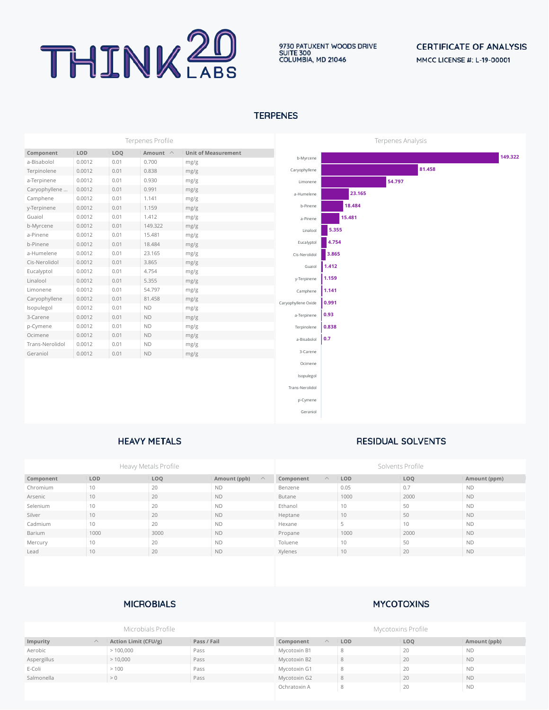

# **CERTIFICATE OF ANALYSIS** MMCC LICENSE #: L-19-00001

## **TERPENES**

| Terpenes Profile |        |      |                |                            | Terpenes Analysis   |        |        |        |  |         |
|------------------|--------|------|----------------|----------------------------|---------------------|--------|--------|--------|--|---------|
| Component        | LOD    | LOQ  | Amount $\land$ | <b>Unit of Measurement</b> |                     |        |        |        |  | 149.322 |
| a-Bisabolol      | 0.0012 | 0.01 | 0.700          | mg/g                       | b-Myrcene           |        |        |        |  |         |
| Terpinolene      | 0.0012 | 0.01 | 0.838          | mg/g                       | Caryophyllene       |        |        | 81.458 |  |         |
| a-Terpinene      | 0.0012 | 0.01 | 0.930          | mg/g                       | Limonene            |        | 54.797 |        |  |         |
| Caryophyllene    | 0.0012 | 0.01 | 0.991          | mg/g                       | a-Humelene          | 23.165 |        |        |  |         |
| Camphene         | 0.0012 | 0.01 | 1.141          | mg/g                       |                     |        |        |        |  |         |
| y-Terpinene      | 0.0012 | 0.01 | 1.159          | mg/g                       | b-Pinene            | 18.484 |        |        |  |         |
| Guaiol           | 0.0012 | 0.01 | 1.412          | mg/g                       | a-Pinene            | 15.481 |        |        |  |         |
| b-Myrcene        | 0.0012 | 0.01 | 149.322        | mg/g                       | Linalool            | 5.355  |        |        |  |         |
| a-Pinene         | 0.0012 | 0.01 | 15.481         | mg/g                       |                     |        |        |        |  |         |
| b-Pinene         | 0.0012 | 0.01 | 18.484         | mg/g                       | Eucalyptol          | 4.754  |        |        |  |         |
| a-Humelene       | 0.0012 | 0.01 | 23.165         | mg/g                       | Cis-Nerolidol       | 3.865  |        |        |  |         |
| Cis-Nerolidol    | 0.0012 | 0.01 | 3.865          | mg/g                       | Guaiol              | 1.412  |        |        |  |         |
| Eucalyptol       | 0.0012 | 0.01 | 4.754          | mg/g                       |                     |        |        |        |  |         |
| Linalool         | 0.0012 | 0.01 | 5.355          | mg/g                       | y-Terpinene         | 1.159  |        |        |  |         |
| Limonene         | 0.0012 | 0.01 | 54.797         | mg/g                       | Camphene            | 1.141  |        |        |  |         |
| Caryophyllene    | 0.0012 | 0.01 | 81.458         | mg/g                       | Caryophyllene Oxide | 0.991  |        |        |  |         |
| Isopulegol       | 0.0012 | 0.01 | $\mathsf{ND}$  | mg/g                       |                     |        |        |        |  |         |
| 3-Carene         | 0.0012 | 0.01 | $\mathsf{ND}$  | mg/g                       | a-Terpinene         | 0.93   |        |        |  |         |
| p-Cymene         | 0.0012 | 0.01 | $\mathsf{ND}$  | mg/g                       | Terpinolene         | 0.838  |        |        |  |         |
| Ocimene          | 0.0012 | 0.01 | $\mathsf{ND}$  | mg/g                       | a-Bisabolol         | 0.7    |        |        |  |         |
| Trans-Nerolidol  | 0.0012 | 0.01 | $\mathsf{ND}$  | mg/g                       |                     |        |        |        |  |         |
| Geraniol         | 0.0012 | 0.01 | <b>ND</b>      | mg/g                       | 3-Carene            |        |        |        |  |         |
|                  |        |      |                |                            | Ocimene             |        |        |        |  |         |
|                  |        |      |                |                            | Isopulegol          |        |        |        |  |         |
|                  |        |      |                |                            |                     |        |        |        |  |         |
|                  |        |      |                |                            | Trans-Nerolidol     |        |        |        |  |         |
|                  |        |      |                |                            | p-Cymene            |        |        |        |  |         |
|                  |        |      |                |                            | Geraniol            |        |        |        |  |         |
|                  |        |      |                |                            |                     |        |        |        |  |         |

### **HEAVY METALS**

### **RESIDUAL SOLVENTS**

|           |            | Heavy Metals Profile |                          | Solvents Profile     |            |                 |              |  |
|-----------|------------|----------------------|--------------------------|----------------------|------------|-----------------|--------------|--|
| Component | <b>LOD</b> | LOQ                  | Amount (ppb)<br>$\wedge$ | Component<br>$\land$ | <b>LOD</b> | LOQ             | Amount (ppm) |  |
| Chromium  | 10         | 20                   | <b>ND</b>                | Benzene              | 0.05       | 0.7             | <b>ND</b>    |  |
| Arsenic   | 10         | 20                   | <b>ND</b>                | Butane               | 1000       | 2000            | <b>ND</b>    |  |
| Selenium  | 10         | 20                   | <b>ND</b>                | Ethanol              | 10         | 50              | <b>ND</b>    |  |
| Silver    | 10         | 20                   | <b>ND</b>                | Heptane              | 10         | 50              | <b>ND</b>    |  |
| Cadmium   | 10         | 20                   | <b>ND</b>                | Hexane               |            | 10 <sup>1</sup> | <b>ND</b>    |  |
| Barium    | 1000       | 3000                 | <b>ND</b>                | Propane              | 1000       | 2000            | <b>ND</b>    |  |
| Mercury   | 10         | 20                   | <b>ND</b>                | Toluene              | 10         | 50              | <b>ND</b>    |  |
| Lead      | 10         | 20                   | <b>ND</b>                | Xylenes              | 10         | 20              | <b>ND</b>    |  |

# **MICROBIALS**

## **MYCOTOXINS**

|             |          | Microbials Profile   |             | Mycotoxins Profile    |            |            |              |  |
|-------------|----------|----------------------|-------------|-----------------------|------------|------------|--------------|--|
| Impurity    | $\wedge$ | Action Limit (CFU/g) | Pass / Fail | Component<br>$\wedge$ | <b>LOD</b> | <b>LOQ</b> | Amount (ppb) |  |
| Aerobic     |          | >100,000             | Pass        | Mycotoxin B1          |            | 20         | <b>ND</b>    |  |
| Aspergillus |          | >10,000              | Pass        | Mycotoxin B2          | 8          | 20         | <b>ND</b>    |  |
| E-Coli      |          | >100                 | Pass        | Mycotoxin G1          |            | 20         | <b>ND</b>    |  |
| Salmonella  |          | > 0                  | Pass        | Mycotoxin G2          | 8          | 20         | <b>ND</b>    |  |
|             |          |                      |             | Ochratoxin A          |            | 20         | <b>ND</b>    |  |